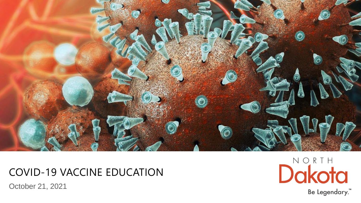

#### COVID-19 VACCINE EDUCATION

October 21, 2021

**Dakota** 

Be Legendary.<sup>™</sup>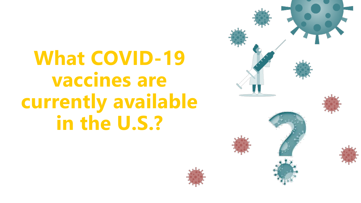## **What COVID-19 vaccines are currently available in the U.S.?**

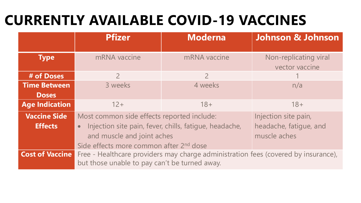#### **CURRENTLY AVAILABLE COVID-19 VACCINES**

|                        | <b>Pfizer</b>                                                                                                                       | <b>Moderna</b> | <b>Johnson &amp; Johnson</b>            |
|------------------------|-------------------------------------------------------------------------------------------------------------------------------------|----------------|-----------------------------------------|
| <b>Type</b>            | mRNA vaccine                                                                                                                        | mRNA vaccine   | Non-replicating viral<br>vector vaccine |
| # of Doses             | $\overline{2}$                                                                                                                      | $\overline{2}$ |                                         |
| <b>Time Between</b>    | 3 weeks                                                                                                                             | 4 weeks        | n/a                                     |
| <b>Doses</b>           |                                                                                                                                     |                |                                         |
| <b>Age Indication</b>  | $12+$                                                                                                                               | $18+$          | $18+$                                   |
| <b>Vaccine Side</b>    | Most common side effects reported include:                                                                                          |                | Injection site pain,                    |
| <b>Effects</b>         | Injection site pain, fever, chills, fatigue, headache,<br>$\bullet$                                                                 |                | headache, fatigue, and                  |
|                        | and muscle and joint aches                                                                                                          |                | muscle aches                            |
|                        | Side effects more common after 2 <sup>nd</sup> dose                                                                                 |                |                                         |
| <b>Cost of Vaccine</b> | Free - Healthcare providers may charge administration fees (covered by insurance),<br>but those unable to pay can't be turned away. |                |                                         |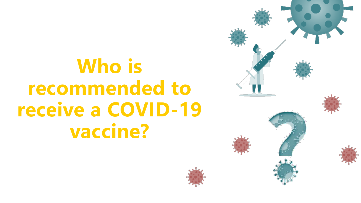## **Who is recommended to receive a COVID-19 vaccine?**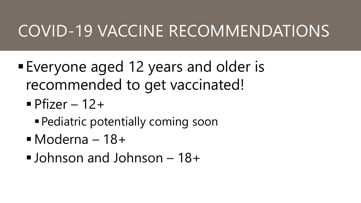#### COVID-19 VACCINE RECOMMENDATIONS

- ▪Everyone aged 12 years and older is recommended to get vaccinated!
	- $\blacksquare$  Pfizer 12+
		- **Pediatric potentially coming soon**
	- $\blacksquare$  Moderna 18+
	- Johnson and Johnson 18+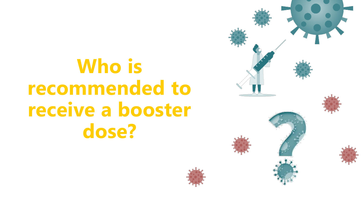## **Who is recommended to receive a booster dose?**

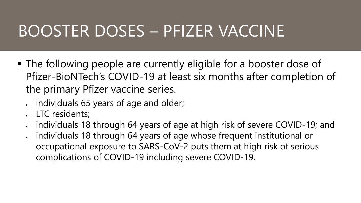#### BOOSTER DOSES – PFIZER VACCINE

- The following people are currently eligible for a booster dose of Pfizer-BioNTech's COVID-19 at least six months after completion of the primary Pfizer vaccine series.
	- individuals 65 years of age and older;
	- LTC residents;
	- individuals 18 through 64 years of age at high risk of severe COVID-19; and
	- individuals 18 through 64 years of age whose frequent institutional or occupational exposure to SARS-CoV-2 puts them at high risk of serious complications of COVID-19 including severe COVID-19.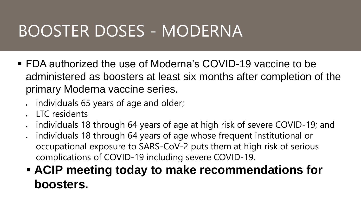#### BOOSTER DOSES - MODERNA

- FDA authorized the use of Moderna's COVID-19 vaccine to be administered as boosters at least six months after completion of the primary Moderna vaccine series.
	- individuals 65 years of age and older;
	- LTC residents
	- individuals 18 through 64 years of age at high risk of severe COVID-19; and
	- individuals 18 through 64 years of age whose frequent institutional or occupational exposure to SARS-CoV-2 puts them at high risk of serious complications of COVID-19 including severe COVID-19.
	- **ACIP meeting today to make recommendations for boosters.**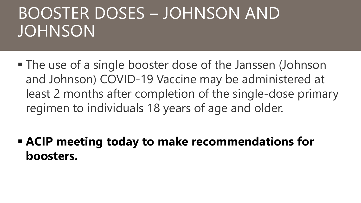### BOOSTER DOSES – JOHNSON AND **JOHNSON**

- The use of a single booster dose of the Janssen (Johnson and Johnson) COVID-19 Vaccine may be administered at least 2 months after completion of the single-dose primary regimen to individuals 18 years of age and older.
- **ACIP meeting today to make recommendations for boosters.**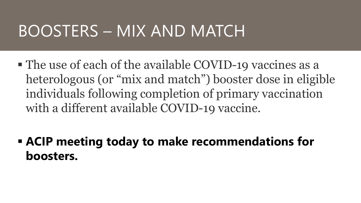#### BOOSTERS – MIX AND MATCH

▪ The use of each of the available COVID-19 vaccines as a heterologous (or "mix and match") booster dose in eligible individuals following completion of primary vaccination with a different available COVID-19 vaccine.

▪ **ACIP meeting today to make recommendations for boosters.**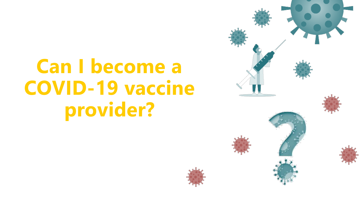## **Can I become a COVID-19 vaccine provider?**

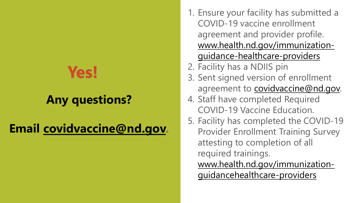#### **Yes!**

#### **Any questions?**

#### **Email [covidvaccine@nd.gov.](mailto:covidvaccine@nd.gov)**

- 1. Ensure your facility has submitted a COVID-19 vaccine enrollment agreement and provider profile. [www.health.nd.gov/immunization](http://www.health.nd.gov/immunization-guidance-healthcare-providers)guidance-healthcare-providers
- 2. Facility has a NDIIS pin
- 3. Sent signed version of enrollment agreement to [covidvaccine@nd.gov.](mailto:covidvaccine@nd.gov)
- 4. Staff have completed Required COVID-19 Vaccine Education.
- 5. Facility has completed the COVID-19 Provider Enrollment Training Survey attesting to completion of all required trainings. [www.health.nd.gov/immunization-](http://www.health.nd.gov/immunization-guidancehealthcare-providers)

guidancehealthcare-providers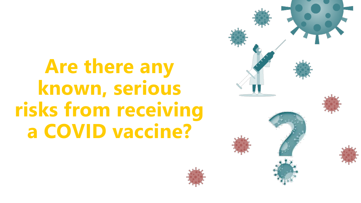## **Are there any known, serious risks from receiving a COVID vaccine?**

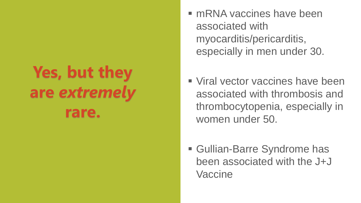## **Yes, but they are** *extremely* **rare.**

- mRNA vaccines have been associated with myocarditis/pericarditis, especially in men under 30.
- Viral vector vaccines have been associated with thrombosis and thrombocytopenia, especially in women under 50.
- Gullian-Barre Syndrome has been associated with the J+J Vaccine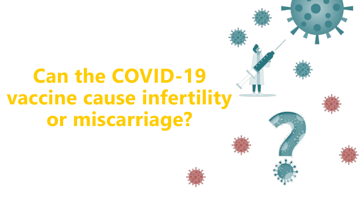## **Can the COVID-19 vaccine cause infertility or miscarriage?**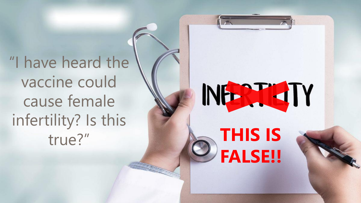"I have heard the vaccine could cause female infertility? Is this true?"



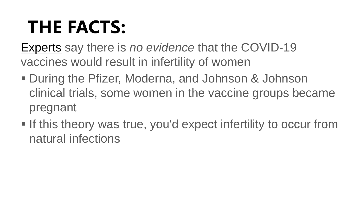## **THE FACTS:**

[Experts](https://www.facebook.com/NDResponse/videos/3648643321900758) say there is *no evidence* that the COVID-19 vaccines would result in infertility of women

- During the Pfizer, Moderna, and Johnson & Johnson clinical trials, some women in the vaccine groups became pregnant
- **.** If this theory was true, you'd expect infertility to occur from natural infections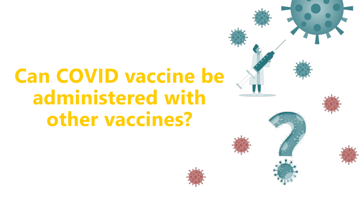## **Can COVID vaccine be administered with other vaccines?**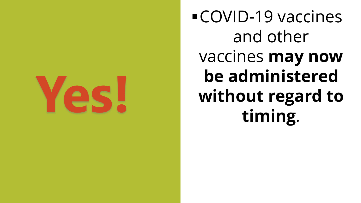$-COVID-19$  vaccines and other vaccines **may now be administered without regard to<br>
<b>timing.**